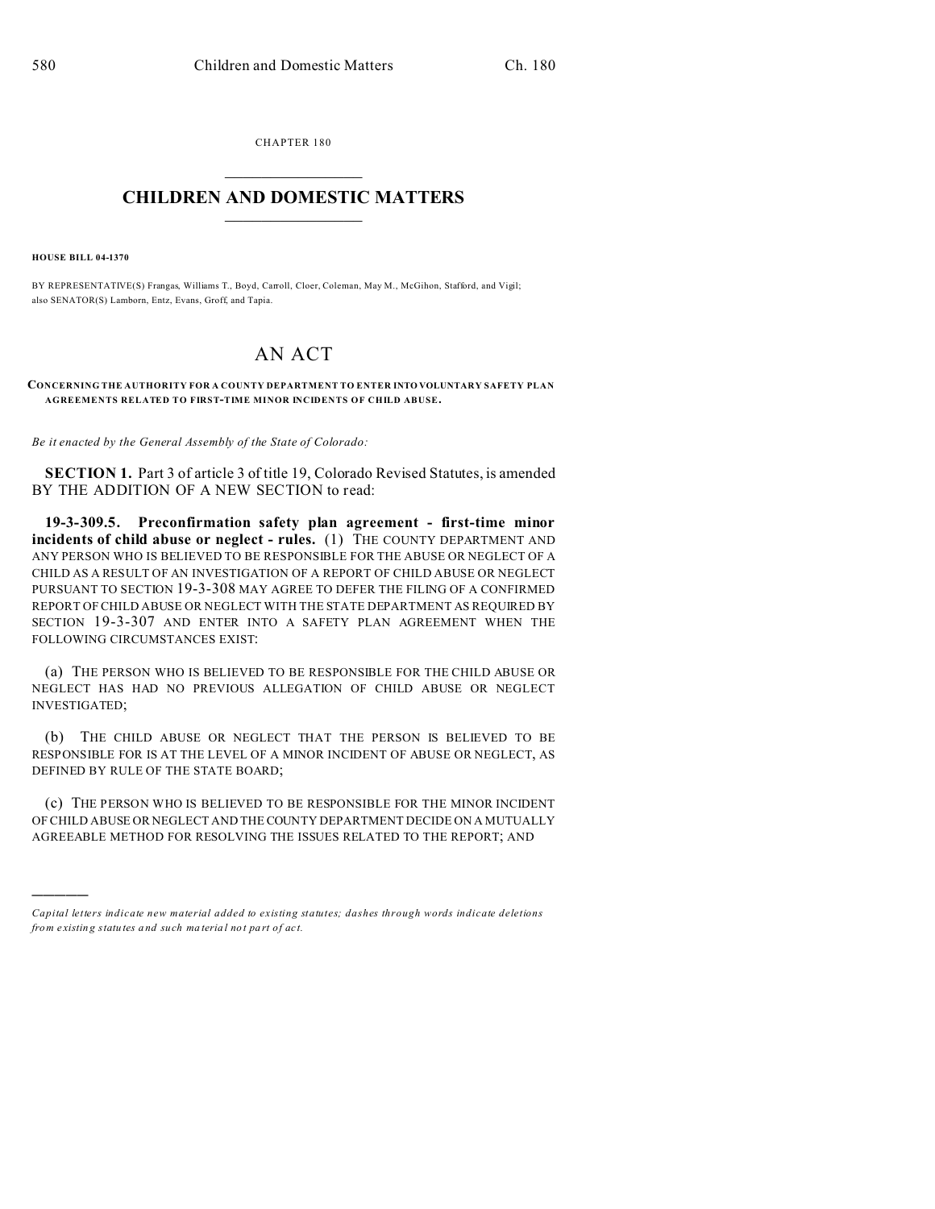CHAPTER 180  $\overline{\phantom{a}}$  , where  $\overline{\phantom{a}}$ 

## **CHILDREN AND DOMESTIC MATTERS**  $\_$   $\_$

**HOUSE BILL 04-1370**

)))))

BY REPRESENTATIVE(S) Frangas, Williams T., Boyd, Carroll, Cloer, Coleman, May M., McGihon, Stafford, and Vigil; also SENATOR(S) Lamborn, Entz, Evans, Groff, and Tapia.

## AN ACT

## **CONCERNING THE AUTHORITY FOR A COUNTY DEPARTMENT TO ENTER INTO VOLUNTARY SAFETY PLAN AGREEMENTS RELATED TO FIRST-TIME MINOR INCIDENTS OF CHILD ABUSE.**

*Be it enacted by the General Assembly of the State of Colorado:*

**SECTION 1.** Part 3 of article 3 of title 19, Colorado Revised Statutes, is amended BY THE ADDITION OF A NEW SECTION to read:

**19-3-309.5. Preconfirmation safety plan agreement - first-time minor incidents of child abuse or neglect - rules.** (1) THE COUNTY DEPARTMENT AND ANY PERSON WHO IS BELIEVED TO BE RESPONSIBLE FOR THE ABUSE OR NEGLECT OF A CHILD AS A RESULT OF AN INVESTIGATION OF A REPORT OF CHILD ABUSE OR NEGLECT PURSUANT TO SECTION 19-3-308 MAY AGREE TO DEFER THE FILING OF A CONFIRMED REPORT OF CHILD ABUSE OR NEGLECT WITH THE STATE DEPARTMENT AS REQUIRED BY SECTION 19-3-307 AND ENTER INTO A SAFETY PLAN AGREEMENT WHEN THE FOLLOWING CIRCUMSTANCES EXIST:

(a) THE PERSON WHO IS BELIEVED TO BE RESPONSIBLE FOR THE CHILD ABUSE OR NEGLECT HAS HAD NO PREVIOUS ALLEGATION OF CHILD ABUSE OR NEGLECT INVESTIGATED;

(b) THE CHILD ABUSE OR NEGLECT THAT THE PERSON IS BELIEVED TO BE RESPONSIBLE FOR IS AT THE LEVEL OF A MINOR INCIDENT OF ABUSE OR NEGLECT, AS DEFINED BY RULE OF THE STATE BOARD;

(c) THE PERSON WHO IS BELIEVED TO BE RESPONSIBLE FOR THE MINOR INCIDENT OF CHILD ABUSE OR NEGLECT AND THE COUNTY DEPARTMENT DECIDE ON A MUTUALLY AGREEABLE METHOD FOR RESOLVING THE ISSUES RELATED TO THE REPORT; AND

*Capital letters indicate new material added to existing statutes; dashes through words indicate deletions from e xistin g statu tes a nd such ma teria l no t pa rt of ac t.*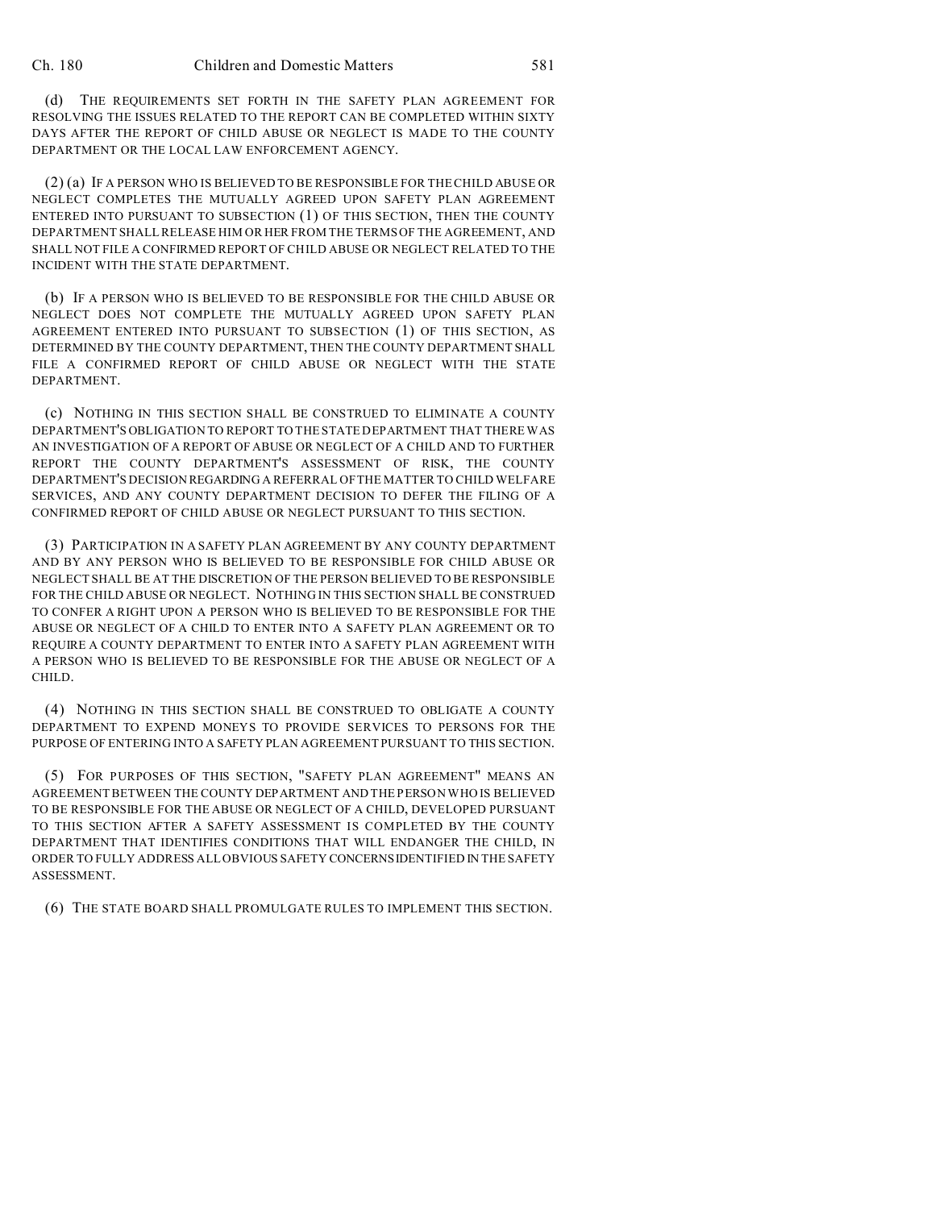(d) THE REQUIREMENTS SET FORTH IN THE SAFETY PLAN AGREEMENT FOR RESOLVING THE ISSUES RELATED TO THE REPORT CAN BE COMPLETED WITHIN SIXTY DAYS AFTER THE REPORT OF CHILD ABUSE OR NEGLECT IS MADE TO THE COUNTY DEPARTMENT OR THE LOCAL LAW ENFORCEMENT AGENCY.

(2) (a) IF A PERSON WHO IS BELIEVED TO BE RESPONSIBLE FOR THE CHILD ABUSE OR NEGLECT COMPLETES THE MUTUALLY AGREED UPON SAFETY PLAN AGREEMENT ENTERED INTO PURSUANT TO SUBSECTION (1) OF THIS SECTION, THEN THE COUNTY DEPARTMENT SHALL RELEASE HIM OR HER FROM THE TERMS OF THE AGREEMENT, AND SHALL NOT FILE A CONFIRMED REPORT OF CHILD ABUSE OR NEGLECT RELATED TO THE INCIDENT WITH THE STATE DEPARTMENT.

(b) IF A PERSON WHO IS BELIEVED TO BE RESPONSIBLE FOR THE CHILD ABUSE OR NEGLECT DOES NOT COMPLETE THE MUTUALLY AGREED UPON SAFETY PLAN AGREEMENT ENTERED INTO PURSUANT TO SUBSECTION (1) OF THIS SECTION, AS DETERMINED BY THE COUNTY DEPARTMENT, THEN THE COUNTY DEPARTMENT SHALL FILE A CONFIRMED REPORT OF CHILD ABUSE OR NEGLECT WITH THE STATE **DEPARTMENT** 

(c) NOTHING IN THIS SECTION SHALL BE CONSTRUED TO ELIMINATE A COUNTY DEPARTMENT'S OBLIGATION TO REPORT TO THE STATE DEPARTMENT THAT THERE WAS AN INVESTIGATION OF A REPORT OF ABUSE OR NEGLECT OF A CHILD AND TO FURTHER REPORT THE COUNTY DEPARTMENT'S ASSESSMENT OF RISK, THE COUNTY DEPARTMENT'S DECISION REGARDING A REFERRAL OF THE MATTER TO CHILD WELFARE SERVICES, AND ANY COUNTY DEPARTMENT DECISION TO DEFER THE FILING OF A CONFIRMED REPORT OF CHILD ABUSE OR NEGLECT PURSUANT TO THIS SECTION.

(3) PARTICIPATION IN A SAFETY PLAN AGREEMENT BY ANY COUNTY DEPARTMENT AND BY ANY PERSON WHO IS BELIEVED TO BE RESPONSIBLE FOR CHILD ABUSE OR NEGLECT SHALL BE AT THE DISCRETION OF THE PERSON BELIEVED TO BE RESPONSIBLE FOR THE CHILD ABUSE OR NEGLECT. NOTHING IN THIS SECTION SHALL BE CONSTRUED TO CONFER A RIGHT UPON A PERSON WHO IS BELIEVED TO BE RESPONSIBLE FOR THE ABUSE OR NEGLECT OF A CHILD TO ENTER INTO A SAFETY PLAN AGREEMENT OR TO REQUIRE A COUNTY DEPARTMENT TO ENTER INTO A SAFETY PLAN AGREEMENT WITH A PERSON WHO IS BELIEVED TO BE RESPONSIBLE FOR THE ABUSE OR NEGLECT OF A CHILD.

(4) NOTHING IN THIS SECTION SHALL BE CONSTRUED TO OBLIGATE A COUNTY DEPARTMENT TO EXPEND MONEYS TO PROVIDE SERVICES TO PERSONS FOR THE PURPOSE OF ENTERING INTO A SAFETY PLAN AGREEMENT PURSUANT TO THIS SECTION.

(5) FOR PURPOSES OF THIS SECTION, "SAFETY PLAN AGREEMENT" MEANS AN AGREEMENT BETWEEN THE COUNTY DEPARTMENT AND THE PERSON WHO IS BELIEVED TO BE RESPONSIBLE FOR THE ABUSE OR NEGLECT OF A CHILD, DEVELOPED PURSUANT TO THIS SECTION AFTER A SAFETY ASSESSMENT IS COMPLETED BY THE COUNTY DEPARTMENT THAT IDENTIFIES CONDITIONS THAT WILL ENDANGER THE CHILD, IN ORDER TO FULLY ADDRESS ALL OBVIOUS SAFETY CONCERNSIDENTIFIED IN THE SAFETY ASSESSMENT.

(6) THE STATE BOARD SHALL PROMULGATE RULES TO IMPLEMENT THIS SECTION.